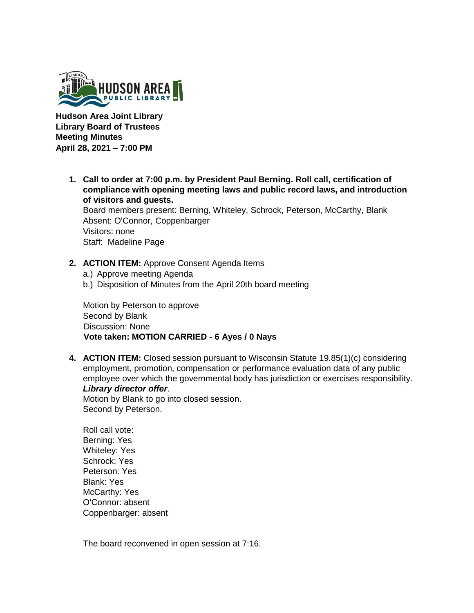

**Hudson Area Joint Library Library Board of Trustees Meeting Minutes April 28, 2021 – 7:00 PM** 

> **1. Call to order at 7:00 p.m. by President Paul Berning. Roll call, certification of compliance with opening meeting laws and public record laws, and introduction of visitors and guests.**

Board members present: Berning, Whiteley, Schrock, Peterson, McCarthy, Blank Absent: O'Connor, Coppenbarger Visitors: none Staff: Madeline Page

- **2. ACTION ITEM:** Approve Consent Agenda Items
	- a.) Approve meeting Agenda
	- b.) Disposition of Minutes from the April 20th board meeting

Motion by Peterson to approve Second by Blank Discussion: None **Vote taken: MOTION CARRIED - 6 Ayes / 0 Nays** 

**4. ACTION ITEM:** Closed session pursuant to Wisconsin Statute 19.85(1)(c) considering employment, promotion, compensation or performance evaluation data of any public employee over which the governmental body has jurisdiction or exercises responsibility. *Library director offer*.

Motion by Blank to go into closed session. Second by Peterson.

Roll call vote: Berning: Yes Whiteley: Yes Schrock: Yes Peterson: Yes Blank: Yes McCarthy: Yes O'Connor: absent Coppenbarger: absent

The board reconvened in open session at 7:16.